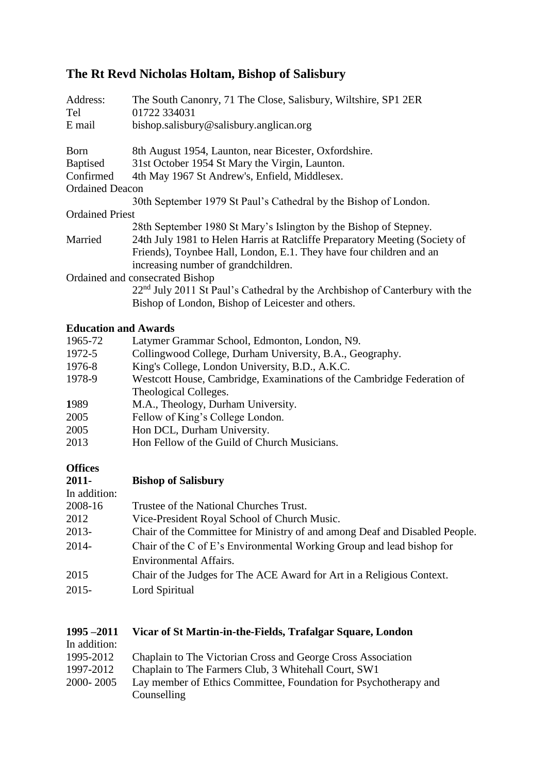# **The Rt Revd Nicholas Holtam, Bishop of Salisbury**

| Address:<br>Tel        | The South Canonry, 71 The Close, Salisbury, Wiltshire, SP1 2ER<br>01722 334031          |
|------------------------|-----------------------------------------------------------------------------------------|
| E mail                 | bishop.salisbury@salisbury.anglican.org                                                 |
| <b>Born</b>            | 8th August 1954, Launton, near Bicester, Oxfordshire.                                   |
| <b>Baptised</b>        | 31st October 1954 St Mary the Virgin, Launton.                                          |
| Confirmed              | 4th May 1967 St Andrew's, Enfield, Middlesex.                                           |
| <b>Ordained Deacon</b> |                                                                                         |
|                        | 30th September 1979 St Paul's Cathedral by the Bishop of London.                        |
| <b>Ordained Priest</b> |                                                                                         |
|                        | 28th September 1980 St Mary's Islington by the Bishop of Stepney.                       |
| Married                | 24th July 1981 to Helen Harris at Ratcliffe Preparatory Meeting (Society of             |
|                        | Friends), Toynbee Hall, London, E.1. They have four children and an                     |
|                        | increasing number of grandchildren.                                                     |
|                        | Ordained and consecrated Bishop                                                         |
|                        | 22 <sup>nd</sup> July 2011 St Paul's Cathedral by the Archbishop of Canterbury with the |
|                        | Bishop of London, Bishop of Leicester and others.                                       |

## **Education and Awards**

| 1965-72 | Latymer Grammar School, Edmonton, London, N9.                          |
|---------|------------------------------------------------------------------------|
| 1972-5  | Collingwood College, Durham University, B.A., Geography.               |
| 1976-8  | King's College, London University, B.D., A.K.C.                        |
| 1978-9  | Westcott House, Cambridge, Examinations of the Cambridge Federation of |
|         | Theological Colleges.                                                  |
| 1989    | M.A., Theology, Durham University.                                     |
| 2005    | Fellow of King's College London.                                       |
| 2005    | Hon DCL, Durham University.                                            |
| 2013    | Hon Fellow of the Guild of Church Musicians.                           |

# **Offices**

| <b>Bishop of Salisbury</b>                                                 |
|----------------------------------------------------------------------------|
|                                                                            |
| Trustee of the National Churches Trust.                                    |
| Vice-President Royal School of Church Music.                               |
| Chair of the Committee for Ministry of and among Deaf and Disabled People. |
| Chair of the C of E's Environmental Working Group and lead bishop for      |
| Environmental Affairs.                                                     |
| Chair of the Judges for The ACE Award for Art in a Religious Context.      |
| Lord Spiritual                                                             |
|                                                                            |

# **1995 –2011 Vicar of St Martin-in-the-Fields, Trafalgar Square, London**

In addition:

- 1995-2012 Chaplain to The Victorian Cross and George Cross Association
- 1997-2012 Chaplain to The Farmers Club, 3 Whitehall Court, SW1
- 2000- 2005 Lay member of Ethics Committee, Foundation for Psychotherapy and **Counselling**